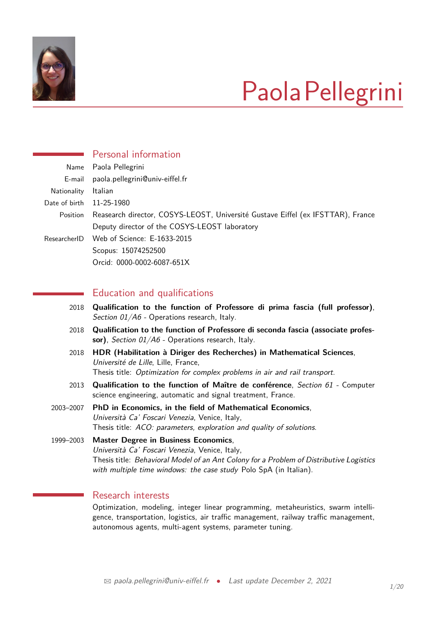

# PaolaPellegrini

|                 | Personal information                                                            |
|-----------------|---------------------------------------------------------------------------------|
| Name            | Paola Pellegrini                                                                |
| E-mail          | paola.pellegrini@univ-eiffel.fr                                                 |
| Nationality     | Italian                                                                         |
| Date of birth   | 11-25-1980                                                                      |
| <b>Position</b> | Reasearch director, COSYS-LEOST, Université Gustave Eiffel (ex IFSTTAR), France |
|                 | Deputy director of the COSYS-LEOST laboratory                                   |
| ResearcherID    | Web of Science: E-1633-2015                                                     |
|                 | Scopus: 15074252500                                                             |
|                 | Orcid: 0000-0002-6087-651X                                                      |
|                 |                                                                                 |
|                 | Education and qualifications                                                    |

- 2018 **Qualification to the function of Professore di prima fascia (full professor)**, Section 01/A6 - Operations research, Italy.
- 2018 **Qualification to the function of Professore di seconda fascia (associate profes**sor), Section 01/A6 - Operations research, Italy.
- 2018 **HDR (Habilitation à Diriger des Recherches) in Mathematical Sciences**, Université de Lille, Lille, France, Thesis title: Optimization for complex problems in air and rail transport.
- 2013 **Qualification to the function of Maître de conférence**, Section 61 Computer science engineering, automatic and signal treatment, France.
- 2003–2007 **PhD in Economics, in the field of Mathematical Economics**, Università Ca' Foscari Venezia, Venice, Italy, Thesis title: ACO: parameters, exploration and quality of solutions.

1999–2003 **Master Degree in Business Economics**, Università Ca' Foscari Venezia, Venice, Italy, Thesis title: Behavioral Model of an Ant Colony for a Problem of Distributive Logistics with multiple time windows: the case study Polo SpA (in Italian).

# Research interests

Optimization, modeling, integer linear programming, metaheuristics, swarm intelligence, transportation, logistics, air traffic management, railway traffic management, autonomous agents, multi-agent systems, parameter tuning.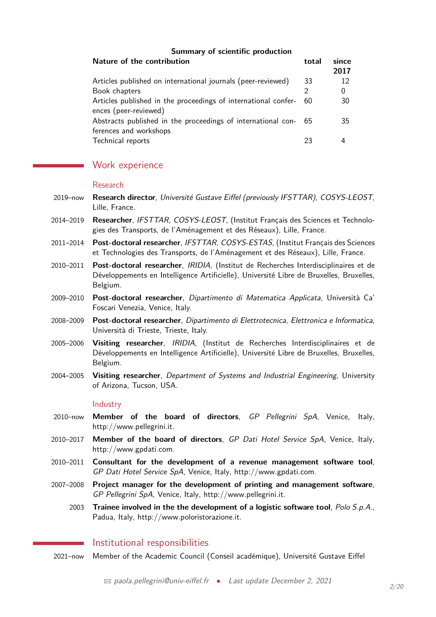### **Summary of scientific production**

| Nature of the contribution                                     | total | since<br>2017 |
|----------------------------------------------------------------|-------|---------------|
| Articles published on international journals (peer-reviewed)   | 33    | 12            |
| Book chapters                                                  |       | 0             |
| Articles published in the proceedings of international confer- | 60    | 30            |
| ences (peer-reviewed)                                          |       |               |
| Abstracts published in the proceedings of international con-   |       | 35            |
| ferences and workshops                                         |       |               |
| Technical reports                                              | 23    |               |

# Work experience

#### Research

- 2019–now **Research director**, Université Gustave Eiffel (previously IFSTTAR), COSYS-LEOST, Lille, France.
- 2014–2019 **Researcher**, IFSTTAR, COSYS-LEOST, (Institut Français des Sciences et Technologies des Transports, de l'Aménagement et des Réseaux), Lille, France.
- 2011–2014 **Post-doctoral researcher**, IFSTTAR, COSYS-ESTAS, (Institut Français des Sciences et Technologies des Transports, de l'Aménagement et des Réseaux), Lille, France.
- 2010–2011 **Post-doctoral researcher**, IRIDIA, (Institut de Recherches Interdisciplinaires et de Développements en Intelligence Artificielle), Université Libre de Bruxelles, Bruxelles, Belgium.
- 2009–2010 **Post-doctoral researcher**, Dipartimento di Matematica Applicata, Università Ca' Foscari Venezia, Venice, Italy.
- 2008–2009 **Post-doctoral researcher**, Dipartimento di Elettrotecnica, Elettronica e Informatica, Università di Trieste, Trieste, Italy.
- 2005–2006 **Visiting researcher**, IRIDIA, (Institut de Recherches Interdisciplinaires et de Développements en Intelligence Artificielle), Université Libre de Bruxelles, Bruxelles, Belgium.
- 2004–2005 **Visiting researcher**, Department of Systems and Industrial Engineering, University of Arizona, Tucson, USA.

#### **Industry**

- 2010–now **Member of the board of directors**, GP Pellegrini SpA, Venice, Italy, http://www.pellegrini.it.
- 2010–2017 **Member of the board of directors**, GP Dati Hotel Service SpA, Venice, Italy, http://www.gpdati.com.
- 2010–2011 **Consultant for the development of a revenue management software tool**, GP Dati Hotel Service SpA, Venice, Italy, http://www.gpdati.com.
- 2007–2008 **Project manager for the development of printing and management software**, GP Pellegrini SpA, Venice, Italy, http://www.pellegrini.it.
	- 2003 **Trainee involved in the the development of a logistic software tool**, Polo S.p.A., Padua, Italy, http://www.poloristorazione.it.

## Institutional responsibilities

2021–now Member of the Academic Council (Conseil académique), Université Gustave Eiffel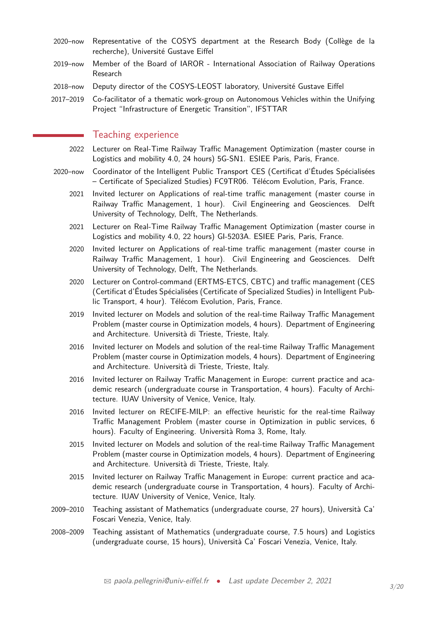- 2020–now Representative of the COSYS department at the Research Body (Collège de la recherche), Université Gustave Eiffel
- 2019–now Member of the Board of IAROR International Association of Railway Operations Research
- 2018–now Deputy director of the COSYS-LEOST laboratory, Université Gustave Eiffel
- 2017–2019 Co-facilitator of a thematic work-group on Autonomous Vehicles within the Unifying Project "Infrastructure of Energetic Transition", IFSTTAR

## Teaching experience

- 2022 Lecturer on Real-Time Railway Traffic Management Optimization (master course in Logistics and mobility 4.0, 24 hours) 5G-SN1. ESIEE Paris, Paris, France.
- 2020–now Coordinator of the Intelligent Public Transport CES (Certificat d'Études Spécialisées – Certificate of Specialized Studies) FC9TR06. Télécom Evolution, Paris, France.
	- 2021 Invited lecturer on Applications of real-time traffic management (master course in Railway Traffic Management, 1 hour). Civil Engineering and Geosciences. Delft University of Technology, Delft, The Netherlands.
	- 2021 Lecturer on Real-Time Railway Traffic Management Optimization (master course in Logistics and mobility 4.0, 22 hours) GI-5203A. ESIEE Paris, Paris, France.
	- 2020 Invited lecturer on Applications of real-time traffic management (master course in Railway Traffic Management, 1 hour). Civil Engineering and Geosciences. Delft University of Technology, Delft, The Netherlands.
	- 2020 Lecturer on Control-command (ERTMS-ETCS, CBTC) and traffic management (CES (Certificat d'Études Spécialisées (Certificate of Specialized Studies) in Intelligent Public Transport, 4 hour). Télécom Evolution, Paris, France.
	- 2019 Invited lecturer on Models and solution of the real-time Railway Traffic Management Problem (master course in Optimization models, 4 hours). Department of Engineering and Architecture. Università di Trieste, Trieste, Italy.
	- 2016 Invited lecturer on Models and solution of the real-time Railway Traffic Management Problem (master course in Optimization models, 4 hours). Department of Engineering and Architecture. Università di Trieste, Trieste, Italy.
	- 2016 Invited lecturer on Railway Traffic Management in Europe: current practice and academic research (undergraduate course in Transportation, 4 hours). Faculty of Architecture. IUAV University of Venice, Venice, Italy.
	- 2016 Invited lecturer on RECIFE-MILP: an effective heuristic for the real-time Railway Traffic Management Problem (master course in Optimization in public services, 6 hours). Faculty of Engineering. Università Roma 3, Rome, Italy.
	- 2015 Invited lecturer on Models and solution of the real-time Railway Traffic Management Problem (master course in Optimization models, 4 hours). Department of Engineering and Architecture. Università di Trieste, Trieste, Italy.
	- 2015 Invited lecturer on Railway Traffic Management in Europe: current practice and academic research (undergraduate course in Transportation, 4 hours). Faculty of Architecture. IUAV University of Venice, Venice, Italy.
- 2009–2010 Teaching assistant of Mathematics (undergraduate course, 27 hours), Università Ca' Foscari Venezia, Venice, Italy.
- 2008–2009 Teaching assistant of Mathematics (undergraduate course, 7.5 hours) and Logistics (undergraduate course, 15 hours), Università Ca' Foscari Venezia, Venice, Italy.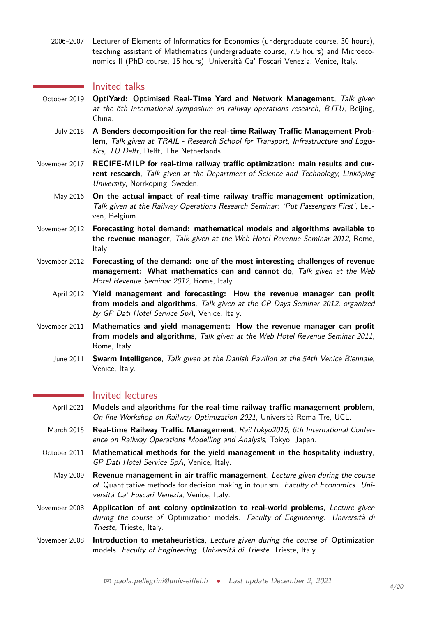2006–2007 Lecturer of Elements of Informatics for Economics (undergraduate course, 30 hours), teaching assistant of Mathematics (undergraduate course, 7.5 hours) and Microeconomics II (PhD course, 15 hours), Università Ca' Foscari Venezia, Venice, Italy.

### Invited talks

- October 2019 **OptiYard: Optimised Real-Time Yard and Network Management**, Talk given at the 6th international symposium on railway operations research, BJTU, Beijing, China.
	- July 2018 **A Benders decomposition for the real-time Railway Traffic Management Problem**, Talk given at TRAIL - Research School for Transport, Infrastructure and Logistics, TU Delft, Delft, The Netherlands.
- November 2017 **RECIFE-MILP for real-time railway traffic optimization: main results and current research**, Talk given at the Department of Science and Technology, Linköping University, Norrköping, Sweden.
	- May 2016 **On the actual impact of real-time railway traffic management optimization**, Talk given at the Railway Operations Research Seminar: 'Put Passengers First', Leuven, Belgium.
- November 2012 **Forecasting hotel demand: mathematical models and algorithms available to the revenue manager**, Talk given at the Web Hotel Revenue Seminar 2012, Rome, Italy.
- November 2012 **Forecasting of the demand: one of the most interesting challenges of revenue management: What mathematics can and cannot do**, Talk given at the Web Hotel Revenue Seminar 2012, Rome, Italy.
	- April 2012 **Yield management and forecasting: How the revenue manager can profit from models and algorithms**, Talk given at the GP Days Seminar 2012, organized by GP Dati Hotel Service SpA, Venice, Italy.
- November 2011 **Mathematics and yield management: How the revenue manager can profit from models and algorithms**, Talk given at the Web Hotel Revenue Seminar 2011, Rome, Italy.
	- June 2011 **Swarm Intelligence**, Talk given at the Danish Pavilion at the 54th Venice Biennale, Venice, Italy.

## **Invited lectures**

- April 2021 **Models and algorithms for the real-time railway traffic management problem**, On-line Workshop on Railway Optimization 2021, Università Roma Tre, UCL.
- March 2015 **Real-time Railway Traffic Management**, RailTokyo2015, 6th International Conference on Railway Operations Modelling and Analysis, Tokyo, Japan.
- October 2011 **Mathematical methods for the yield management in the hospitality industry**, GP Dati Hotel Service SpA, Venice, Italy.
	- May 2009 **Revenue management in air traffic management**, Lecture given during the course of Quantitative methods for decision making in tourism. Faculty of Economics. Università Ca' Foscari Venezia, Venice, Italy.
- November 2008 **Application of ant colony optimization to real-world problems**, Lecture given during the course of Optimization models. Faculty of Engineering. Università di Trieste, Trieste, Italy.
- November 2008 **Introduction to metaheuristics**, Lecture given during the course of Optimization models. Faculty of Engineering. Università di Trieste, Trieste, Italy.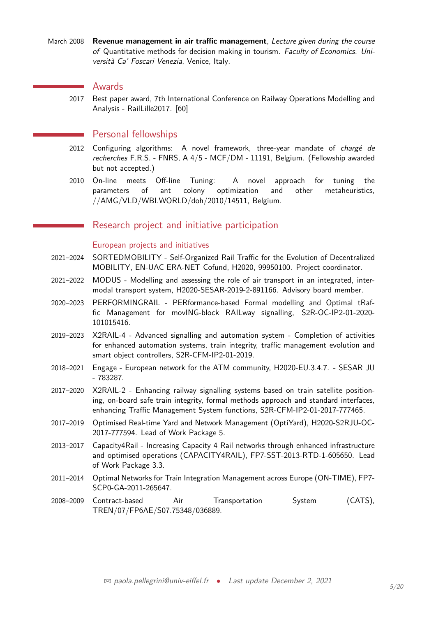March 2008 **Revenue management in air traffic management**, Lecture given during the course of Quantitative methods for decision making in tourism. Faculty of Economics. Università Ca' Foscari Venezia, Venice, Italy.

## Awards

2017 Best paper award, 7th International Conference on Railway Operations Modelling and Analysis - RailLille2017. [60]

## Personal fellowships

- 2012 Configuring algorithms: A novel framework, three-year mandate of chargé de recherches F.R.S. - FNRS, A 4/5 - MCF/DM - 11191, Belgium. (Fellowship awarded but not accepted.)
- 2010 On-line meets Off-line Tuning: A novel approach for tuning the parameters of ant colony optimization and other metaheuristics, //AMG/VLD/WBI.WORLD/doh/2010/14511, Belgium.

## Research project and initiative participation

## European projects and initiatives

- 2021–2024 SORTEDMOBILITY Self-Organized Rail Traffic for the Evolution of Decentralized MOBILITY, EN-UAC ERA-NET Cofund, H2020, 99950100. Project coordinator.
- 2021–2022 MODUS Modelling and assessing the role of air transport in an integrated, intermodal transport system, H2020-SESAR-2019-2-891166. Advisory board member.
- 2020–2023 PERFORMINGRAIL PERformance-based Formal modelling and Optimal tRaffic Management for movING-block RAILway signalling, S2R-OC-IP2-01-2020- 101015416.
- 2019–2023 X2RAIL-4 Advanced signalling and automation system Completion of activities for enhanced automation systems, train integrity, traffic management evolution and smart object controllers, S2R-CFM-IP2-01-2019.
- 2018–2021 Engage European network for the ATM community, H2020-EU.3.4.7. SESAR JU - 783287.
- 2017–2020 X2RAIL-2 Enhancing railway signalling systems based on train satellite positioning, on-board safe train integrity, formal methods approach and standard interfaces, enhancing Traffic Management System functions, S2R-CFM-IP2-01-2017-777465.
- 2017–2019 Optimised Real-time Yard and Network Management (OptiYard), H2020-S2RJU-OC-2017-777594. Lead of Work Package 5.
- 2013–2017 Capacity4Rail Increasing Capacity 4 Rail networks through enhanced infrastructure and optimised operations (CAPACITY4RAIL), FP7-SST-2013-RTD-1-605650. Lead of Work Package 3.3.
- 2011–2014 Optimal Networks for Train Integration Management across Europe (ON-TIME), FP7- SCP0-GA-2011-265647.
- 2008–2009 Contract-based Air Transportation System (CATS), TREN/07/FP6AE/S07.75348/036889.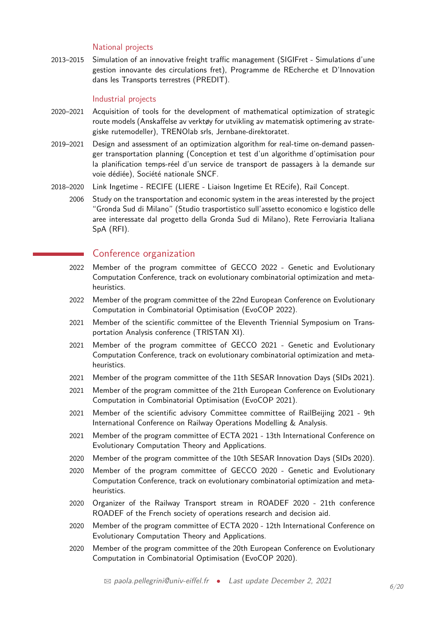## National projects

2013–2015 Simulation of an innovative freight traffic management (SIGIFret - Simulations d'une gestion innovante des circulations fret), Programme de REcherche et D'Innovation dans les Transports terrestres (PREDIT).

## Industrial projects

- 2020–2021 Acquisition of tools for the development of mathematical optimization of strategic route models (Anskaffelse av verktøy for utvikling av matematisk optimering av strategiske rutemodeller), TRENOlab srls, Jernbane-direktoratet.
- 2019–2021 Design and assessment of an optimization algorithm for real-time on-demand passenger transportation planning (Conception et test d'un algorithme d'optimisation pour la planification temps-réel d'un service de transport de passagers à la demande sur voie dédiée), Société nationale SNCF.
- 2018–2020 Link Ingetime RECIFE (LIERE Liaison Ingetime Et REcife), Rail Concept.
	- 2006 Study on the transportation and economic system in the areas interested by the project "Gronda Sud di Milano" (Studio trasportistico sull'assetto economico e logistico delle aree interessate dal progetto della Gronda Sud di Milano), Rete Ferroviaria Italiana SpA (RFI).

# Conference organization

- 2022 Member of the program committee of GECCO 2022 Genetic and Evolutionary Computation Conference, track on evolutionary combinatorial optimization and metaheuristics.
- 2022 Member of the program committee of the 22nd European Conference on Evolutionary Computation in Combinatorial Optimisation (EvoCOP 2022).
- 2021 Member of the scientific committee of the Eleventh Triennial Symposium on Transportation Analysis conference (TRISTAN XI).
- 2021 Member of the program committee of GECCO 2021 Genetic and Evolutionary Computation Conference, track on evolutionary combinatorial optimization and metaheuristics.
- 2021 Member of the program committee of the 11th SESAR Innovation Days (SIDs 2021).
- 2021 Member of the program committee of the 21th European Conference on Evolutionary Computation in Combinatorial Optimisation (EvoCOP 2021).
- 2021 Member of the scientific advisory Committee committee of RailBeijing 2021 9th International Conference on Railway Operations Modelling & Analysis.
- 2021 Member of the program committee of ECTA 2021 13th International Conference on Evolutionary Computation Theory and Applications.
- 2020 Member of the program committee of the 10th SESAR Innovation Days (SIDs 2020).
- 2020 Member of the program committee of GECCO 2020 Genetic and Evolutionary Computation Conference, track on evolutionary combinatorial optimization and metaheuristics.
- 2020 Organizer of the Railway Transport stream in ROADEF 2020 21th conference ROADEF of the French society of operations research and decision aid.
- 2020 Member of the program committee of ECTA 2020 12th International Conference on Evolutionary Computation Theory and Applications.
- 2020 Member of the program committee of the 20th European Conference on Evolutionary Computation in Combinatorial Optimisation (EvoCOP 2020).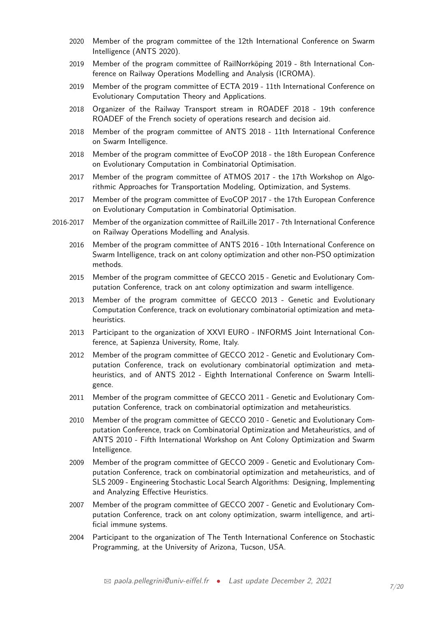- 2020 Member of the program committee of the 12th International Conference on Swarm Intelligence (ANTS 2020).
- 2019 Member of the program committee of RailNorrköping 2019 8th International Conference on Railway Operations Modelling and Analysis (ICROMA).
- 2019 Member of the program committee of ECTA 2019 11th International Conference on Evolutionary Computation Theory and Applications.
- 2018 Organizer of the Railway Transport stream in ROADEF 2018 19th conference ROADEF of the French society of operations research and decision aid.
- 2018 Member of the program committee of ANTS 2018 11th International Conference on Swarm Intelligence.
- 2018 Member of the program committee of EvoCOP 2018 the 18th European Conference on Evolutionary Computation in Combinatorial Optimisation.
- 2017 Member of the program committee of ATMOS 2017 the 17th Workshop on Algorithmic Approaches for Transportation Modeling, Optimization, and Systems.
- 2017 Member of the program committee of EvoCOP 2017 the 17th European Conference on Evolutionary Computation in Combinatorial Optimisation.
- 2016-2017 Member of the organization committee of RailLille 2017 7th International Conference on Railway Operations Modelling and Analysis.
	- 2016 Member of the program committee of ANTS 2016 10th International Conference on Swarm Intelligence, track on ant colony optimization and other non-PSO optimization methods.
	- 2015 Member of the program committee of GECCO 2015 Genetic and Evolutionary Computation Conference, track on ant colony optimization and swarm intelligence.
	- 2013 Member of the program committee of GECCO 2013 Genetic and Evolutionary Computation Conference, track on evolutionary combinatorial optimization and metaheuristics.
	- 2013 Participant to the organization of XXVI EURO INFORMS Joint International Conference, at Sapienza University, Rome, Italy.
	- 2012 Member of the program committee of GECCO 2012 Genetic and Evolutionary Computation Conference, track on evolutionary combinatorial optimization and metaheuristics, and of ANTS 2012 - Eighth International Conference on Swarm Intelligence.
	- 2011 Member of the program committee of GECCO 2011 Genetic and Evolutionary Computation Conference, track on combinatorial optimization and metaheuristics.
	- 2010 Member of the program committee of GECCO 2010 Genetic and Evolutionary Computation Conference, track on Combinatorial Optimization and Metaheuristics, and of ANTS 2010 - Fifth International Workshop on Ant Colony Optimization and Swarm Intelligence.
	- 2009 Member of the program committee of GECCO 2009 Genetic and Evolutionary Computation Conference, track on combinatorial optimization and metaheuristics, and of SLS 2009 - Engineering Stochastic Local Search Algorithms: Designing, Implementing and Analyzing Effective Heuristics.
	- 2007 Member of the program committee of GECCO 2007 Genetic and Evolutionary Computation Conference, track on ant colony optimization, swarm intelligence, and artificial immune systems.
	- 2004 Participant to the organization of The Tenth International Conference on Stochastic Programming, at the University of Arizona, Tucson, USA.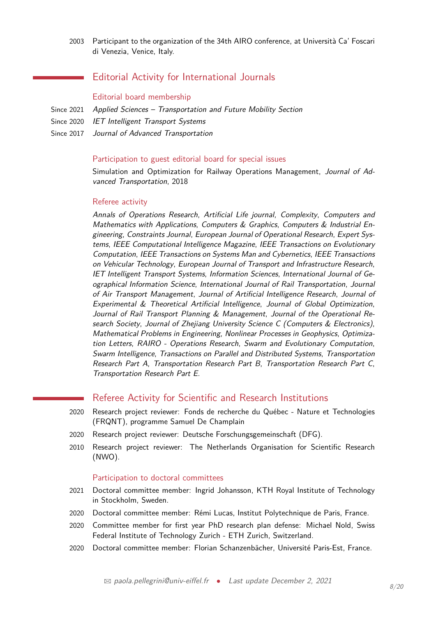2003 Participant to the organization of the 34th AIRO conference, at Università Ca' Foscari di Venezia, Venice, Italy.

# Editorial Activity for International Journals

#### Editorial board membership

- Since 2021 Applied Sciences Transportation and Future Mobility Section
- Since 2020 IET Intelligent Transport Systems
- Since 2017 Journal of Advanced Transportation

#### Participation to guest editorial board for special issues

Simulation and Optimization for Railway Operations Management, Journal of Advanced Transportation, 2018

#### Referee activity

Annals of Operations Research, Artificial Life journal, Complexity, Computers and Mathematics with Applications, Computers & Graphics, Computers & Industrial Engineering, Constraints Journal, European Journal of Operational Research, Expert Systems, IEEE Computational Intelligence Magazine, IEEE Transactions on Evolutionary Computation, IEEE Transactions on Systems Man and Cybernetics, IEEE Transactions on Vehicular Technology, European Journal of Transport and Infrastructure Research, IET Intelligent Transport Systems, Information Sciences, International Journal of Geographical Information Science, International Journal of Rail Transportation, Journal of Air Transport Management, Journal of Artificial Intelligence Research, Journal of Experimental & Theoretical Artificial Intelligence, Journal of Global Optimization, Journal of Rail Transport Planning & Management, Journal of the Operational Research Society, Journal of Zhejiang University Science C (Computers & Electronics), Mathematical Problems in Engineering, Nonlinear Processes in Geophysics, Optimization Letters, RAIRO - Operations Research, Swarm and Evolutionary Computation, Swarm Intelligence, Transactions on Parallel and Distributed Systems, Transportation Research Part A, Transportation Research Part B, Transportation Research Part C, Transportation Research Part E.

# Referee Activity for Scientific and Research Institutions

- 2020 Research project reviewer: Fonds de recherche du Québec Nature et Technologies (FRQNT), programme Samuel De Champlain
- 2020 Research project reviewer: Deutsche Forschungsgemeinschaft (DFG).
- 2010 Research project reviewer: The Netherlands Organisation for Scientific Research (NWO).

#### Participation to doctoral committees

- 2021 Doctoral committee member: Ingrid Johansson, KTH Royal Institute of Technology in Stockholm, Sweden.
- 2020 Doctoral committee member: Rémi Lucas, Institut Polytechnique de Paris, France.
- 2020 Committee member for first year PhD research plan defense: Michael Nold, Swiss Federal Institute of Technology Zurich - ETH Zurich, Switzerland.
- 2020 Doctoral committee member: Florian Schanzenbächer, Université Paris-Est, France.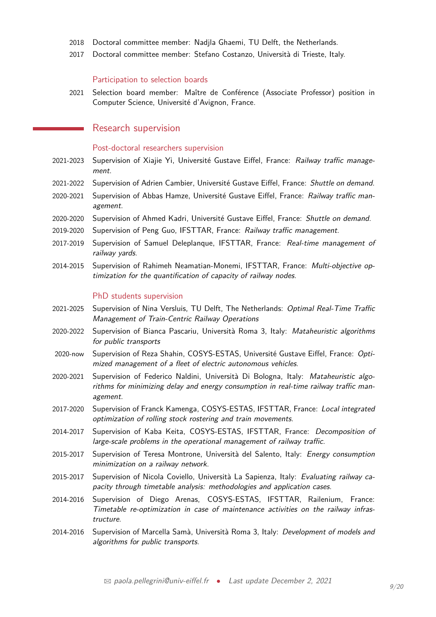- 2018 Doctoral committee member: Nadjla Ghaemi, TU Delft, the Netherlands.
- 2017 Doctoral committee member: Stefano Costanzo, Università di Trieste, Italy.

#### Participation to selection boards

2021 Selection board member: Maître de Conférence (Associate Professor) position in Computer Science, Université d'Avignon, France.

## Research supervision

### Post-doctoral researchers supervision

- 2021-2023 Supervision of Xiajie Yi, Université Gustave Eiffel, France: Railway traffic management.
- 2021-2022 Supervision of Adrien Cambier, Université Gustave Eiffel, France: Shuttle on demand.
- 2020-2021 Supervision of Abbas Hamze, Université Gustave Eiffel, France: Railway traffic management.
- 2020-2020 Supervision of Ahmed Kadri, Université Gustave Eiffel, France: Shuttle on demand.
- 2019-2020 Supervision of Peng Guo, IFSTTAR, France: Railway traffic management.
- 2017-2019 Supervision of Samuel Deleplanque, IFSTTAR, France: Real-time management of railway yards.
- 2014-2015 Supervision of Rahimeh Neamatian-Monemi, IFSTTAR, France: Multi-objective optimization for the quantification of capacity of railway nodes.

#### PhD students supervision

- 2021-2025 Supervision of Nina Versluis, TU Delft, The Netherlands: Optimal Real-Time Traffic Management of Train-Centric Railway Operations
- 2020-2022 Supervision of Bianca Pascariu, Università Roma 3, Italy: Mataheuristic algorithms for public transports
- 2020-now Supervision of Reza Shahin, COSYS-ESTAS, Université Gustave Eiffel, France: Optimized management of a fleet of electric autonomous vehicles.
- 2020-2021 Supervision of Federico Naldini, Università Di Bologna, Italy: Mataheuristic algorithms for minimizing delay and energy consumption in real-time railway traffic management.
- 2017-2020 Supervision of Franck Kamenga, COSYS-ESTAS, IFSTTAR, France: Local integrated optimization of rolling stock rostering and train movements.
- 2014-2017 Supervision of Kaba Keita, COSYS-ESTAS, IFSTTAR, France: Decomposition of large-scale problems in the operational management of railway traffic.
- 2015-2017 Supervision of Teresa Montrone, Università del Salento, Italy: Energy consumption minimization on a railway network.
- 2015-2017 Supervision of Nicola Coviello, Università La Sapienza, Italy: Evaluating railway capacity through timetable analysis: methodologies and application cases.
- 2014-2016 Supervision of Diego Arenas, COSYS-ESTAS, IFSTTAR, Railenium, France: Timetable re-optimization in case of maintenance activities on the railway infrastructure.
- 2014-2016 Supervision of Marcella Samà, Università Roma 3, Italy: Development of models and algorithms for public transports.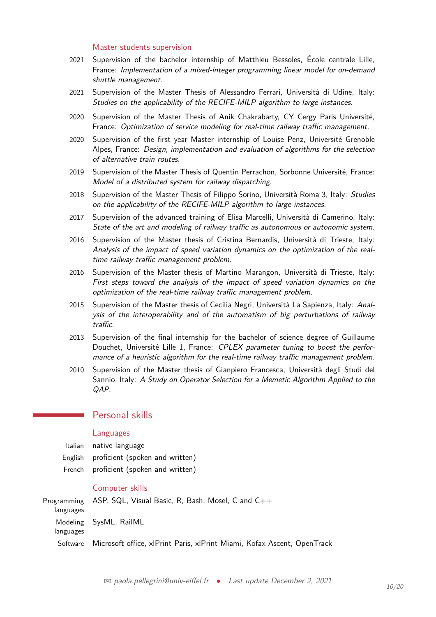#### Master students supervision

- 2021 Supervision of the bachelor internship of Matthieu Bessoles, École centrale Lille, France: Implementation of a mixed-integer programming linear model for on-demand shuttle management.
- 2021 Supervision of the Master Thesis of Alessandro Ferrari, Università di Udine, Italy: Studies on the applicability of the RECIFE-MILP algorithm to large instances.
- 2020 Supervision of the Master Thesis of Anik Chakrabarty, CY Cergy Paris Université, France: Optimization of service modeling for real-time railway traffic management.
- 2020 Supervision of the first year Master internship of Louise Penz, Université Grenoble Alpes, France: Design, implementation and evaluation of algorithms for the selection of alternative train routes.
- 2019 Supervision of the Master Thesis of Quentin Perrachon, Sorbonne Université, France: Model of a distributed system for railway dispatching.
- 2018 Supervision of the Master Thesis of Filippo Sorino, Università Roma 3, Italy: Studies on the applicability of the RECIFE-MILP algorithm to large instances.
- 2017 Supervision of the advanced training of Elisa Marcelli, Università di Camerino, Italy: State of the art and modeling of railway traffic as autonomous or autonomic system.
- 2016 Supervision of the Master thesis of Cristina Bernardis, Università di Trieste, Italy: Analysis of the impact of speed variation dynamics on the optimization of the realtime railway traffic management problem.
- 2016 Supervision of the Master thesis of Martino Marangon, Università di Trieste, Italy: First steps toward the analysis of the impact of speed variation dynamics on the optimization of the real-time railway traffic management problem.
- 2015 Supervision of the Master thesis of Cecilia Negri, Università La Sapienza, Italy: Analysis of the interoperability and of the automatism of big perturbations of railway traffic.
- 2013 Supervision of the final internship for the bachelor of science degree of Guillaume Douchet, Université Lille 1, France: CPLEX parameter tuning to boost the performance of a heuristic algorithm for the real-time railway traffic management problem.
- 2010 Supervision of the Master thesis of Gianpiero Francesca, Università degli Studi del Sannio, Italy: A Study on Operator Selection for a Memetic Algorithm Applied to the QAP.

## Personal skills

#### Languages

| Italian native language                 |
|-----------------------------------------|
| English proficient (spoken and written) |
| French proficient (spoken and written)  |

#### Computer skills

Programming languages ASP, SQL, Visual Basic, R, Bash, Mosel, C and C++ Modeling languages SysML, RailML Software Microsoft office, xlPrint Paris, xlPrint Miami, Kofax Ascent, OpenTrack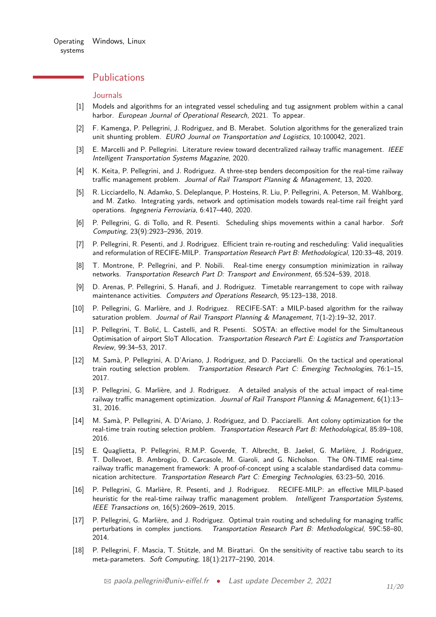## <span id="page-10-0"></span>**Publications**

#### **Journals**

- [1] Models and algorithms for an integrated vessel scheduling and tug assignment problem within a canal harbor. European Journal of Operational Research, 2021. To appear.
- [2] F. Kamenga, P. Pellegrini, J. Rodriguez, and B. Merabet. Solution algorithms for the generalized train unit shunting problem. EURO Journal on Transportation and Logistics, 10:100042, 2021.
- [3] E. Marcelli and P. Pellegrini. Literature review toward decentralized railway traffic management. IEEE Intelligent Transportation Systems Magazine, 2020.
- [4] K. Keita, P. Pellegrini, and J. Rodriguez. A three-step benders decomposition for the real-time railway traffic management problem. Journal of Rail Transport Planning & Management, 13, 2020.
- [5] R. Licciardello, N. Adamko, S. Deleplanque, P. Hosteins, R. Liu, P. Pellegrini, A. Peterson, M. Wahlborg, and M. Zatko. Integrating yards, network and optimisation models towards real-time rail freight yard operations. Ingegneria Ferroviaria, 6:417–440, 2020.
- [6] P. Pellegrini, G. di Tollo, and R. Pesenti. Scheduling ships movements within a canal harbor. Soft Computing, 23(9):2923–2936, 2019.
- [7] P. Pellegrini, R. Pesenti, and J. Rodriguez. Efficient train re-routing and rescheduling: Valid inequalities and reformulation of RECIFE-MILP. Transportation Research Part B: Methodological, 120:33–48, 2019.
- [8] T. Montrone, P. Pellegrini, and P. Nobili. Real-time energy consumption minimization in railway networks. Transportation Research Part D: Transport and Environment, 65:524–539, 2018.
- [9] D. Arenas, P. Pellegrini, S. Hanafi, and J. Rodriguez. Timetable rearrangement to cope with railway maintenance activities. Computers and Operations Research, 95:123–138, 2018.
- [10] P. Pellegrini, G. Marlière, and J. Rodriguez. RECIFE-SAT: a MILP-based algorithm for the railway saturation problem. Journal of Rail Transport Planning & Management, 7(1-2):19-32, 2017.
- [11] P. Pellegrini, T. Bolić, L. Castelli, and R. Pesenti. SOSTA: an effective model for the Simultaneous Optimisation of airport SloT Allocation. Transportation Research Part E: Logistics and Transportation Review, 99:34–53, 2017.
- [12] M. Samà, P. Pellegrini, A. D'Ariano, J. Rodriguez, and D. Pacciarelli. On the tactical and operational train routing selection problem. Transportation Research Part C: Emerging Technologies, 76:1–15, 2017.
- [13] P. Pellegrini, G. Marlière, and J. Rodriguez. A detailed analysis of the actual impact of real-time railway traffic management optimization. Journal of Rail Transport Planning & Management,  $6(1)$ :13– 31, 2016.
- [14] M. Samà, P. Pellegrini, A. D'Ariano, J. Rodriguez, and D. Pacciarelli. Ant colony optimization for the real-time train routing selection problem. Transportation Research Part B: Methodological, 85:89–108, 2016.
- [15] E. Quaglietta, P. Pellegrini, R.M.P. Goverde, T. Albrecht, B. Jaekel, G. Marlière, J. Rodriguez, T. Dollevoet, B. Ambrogio, D. Carcasole, M. Giaroli, and G. Nicholson. The ON-TIME real-time railway traffic management framework: A proof-of-concept using a scalable standardised data communication architecture. Transportation Research Part C: Emerging Technologies, 63:23–50, 2016.
- [16] P. Pellegrini, G. Marlière, R. Pesenti, and J. Rodriguez. RECIFE-MILP: an effective MILP-based heuristic for the real-time railway traffic management problem. Intelligent Transportation Systems, IEEE Transactions on, 16(5):2609–2619, 2015.
- [17] P. Pellegrini, G. Marlière, and J. Rodriguez. Optimal train routing and scheduling for managing traffic perturbations in complex junctions. Transportation Research Part B: Methodological, 59C:58–80, 2014.
- [18] P. Pellegrini, F. Mascia, T. Stützle, and M. Birattari. On the sensitivity of reactive tabu search to its meta-parameters. Soft Computing, 18(1):2177–2190, 2014.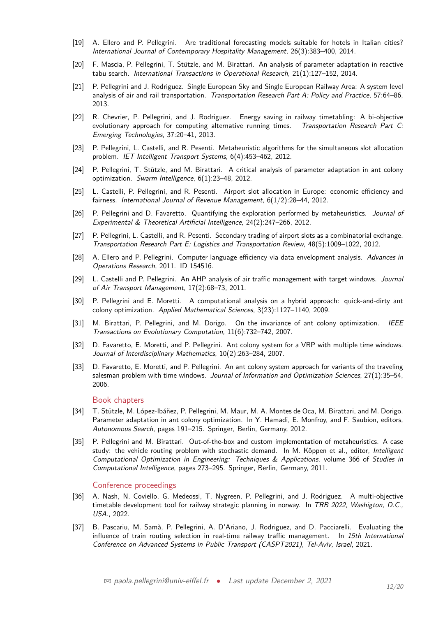- [19] A. Ellero and P. Pellegrini. Are traditional forecasting models suitable for hotels in Italian cities? International Journal of Contemporary Hospitality Management, 26(3):383–400, 2014.
- [20] F. Mascia, P. Pellegrini, T. Stützle, and M. Birattari. An analysis of parameter adaptation in reactive tabu search. International Transactions in Operational Research, 21(1):127–152, 2014.
- [21] P. Pellegrini and J. Rodriguez. Single European Sky and Single European Railway Area: A system level analysis of air and rail transportation. Transportation Research Part A: Policy and Practice, 57:64–86, 2013.
- [22] R. Chevrier, P. Pellegrini, and J. Rodriguez. Energy saving in railway timetabling: A bi-objective evolutionary approach for computing alternative running times. Transportation Research Part C: Emerging Technologies, 37:20–41, 2013.
- [23] P. Pellegrini, L. Castelli, and R. Pesenti. Metaheuristic algorithms for the simultaneous slot allocation problem. IET Intelligent Transport Systems, 6(4):453–462, 2012.
- [24] P. Pellegrini, T. Stützle, and M. Birattari. A critical analysis of parameter adaptation in ant colony optimization. Swarm Intelligence, 6(1):23–48, 2012.
- [25] L. Castelli, P. Pellegrini, and R. Pesenti. Airport slot allocation in Europe: economic efficiency and fairness. International Journal of Revenue Management, 6(1/2):28–44, 2012.
- [26] P. Pellegrini and D. Favaretto. Quantifying the exploration performed by metaheuristics. Journal of Experimental & Theoretical Artificial Intelligence, 24(2):247–266, 2012.
- [27] P. Pellegrini, L. Castelli, and R. Pesenti. Secondary trading of airport slots as a combinatorial exchange. Transportation Research Part E: Logistics and Transportation Review, 48(5):1009–1022, 2012.
- [28] A. Ellero and P. Pellegrini. Computer language efficiency via data envelopment analysis. Advances in Operations Research, 2011. ID 154516.
- [29] L. Castelli and P. Pellegrini. An AHP analysis of air traffic management with target windows. Journal of Air Transport Management, 17(2):68–73, 2011.
- [30] P. Pellegrini and E. Moretti. A computational analysis on a hybrid approach: quick-and-dirty ant colony optimization. Applied Mathematical Sciences, 3(23):1127–1140, 2009.
- [31] M. Birattari, P. Pellegrini, and M. Dorigo. On the invariance of ant colony optimization. IEEE Transactions on Evolutionary Computation, 11(6):732–742, 2007.
- [32] D. Favaretto, E. Moretti, and P. Pellegrini. Ant colony system for a VRP with multiple time windows. Journal of Interdisciplinary Mathematics, 10(2):263–284, 2007.
- [33] D. Favaretto, E. Moretti, and P. Pellegrini. An ant colony system approach for variants of the traveling salesman problem with time windows. Journal of Information and Optimization Sciences, 27(1):35–54, 2006.

#### Book chapters

- [34] T. Stützle, M. López-Ibáñez, P. Pellegrini, M. Maur, M. A. Montes de Oca, M. Birattari, and M. Dorigo. Parameter adaptation in ant colony optimization. In Y. Hamadi, E. Monfroy, and F. Saubion, editors, Autonomous Search, pages 191–215. Springer, Berlin, Germany, 2012.
- [35] P. Pellegrini and M. Birattari. Out-of-the-box and custom implementation of metaheuristics. A case study: the vehicle routing problem with stochastic demand. In M. Köppen et al., editor, Intelligent Computational Optimization in Engineering: Techniques & Applications, volume 366 of Studies in Computational Intelligence, pages 273–295. Springer, Berlin, Germany, 2011.

#### Conference proceedings

- [36] A. Nash, N. Coviello, G. Medeossi, T. Nygreen, P. Pellegrini, and J. Rodriguez. A multi-objective timetable development tool for railway strategic planning in norway. In TRB 2022, Washigton, D.C., USA., 2022.
- [37] B. Pascariu, M. Samà, P. Pellegrini, A. D'Ariano, J. Rodriguez, and D. Pacciarelli. Evaluating the influence of train routing selection in real-time railway traffic management. In 15th International Conference on Advanced Systems in Public Transport (CASPT2021), Tel-Aviv, Israel, 2021.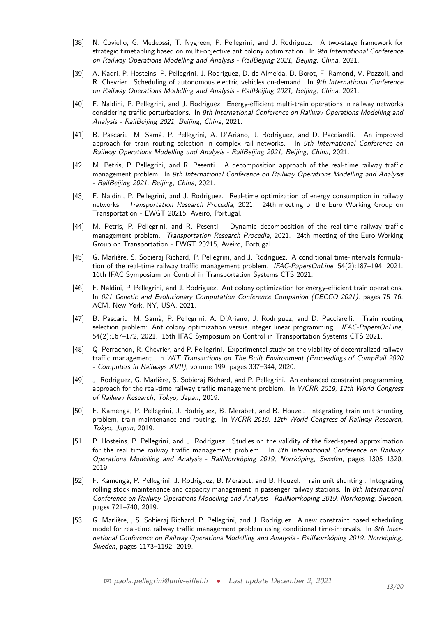- [38] N. Coviello, G. Medeossi, T. Nygreen, P. Pellegrini, and J. Rodriguez. A two-stage framework for strategic timetabling based on multi-objective ant colony optimization. In 9th International Conference on Railway Operations Modelling and Analysis - RailBeijing 2021, Beijing, China, 2021.
- [39] A. Kadri, P. Hosteins, P. Pellegrini, J. Rodriguez, D. de Almeida, D. Borot, F. Ramond, V. Pozzoli, and R. Chevrier. Scheduling of autonomous electric vehicles on-demand. In 9th International Conference on Railway Operations Modelling and Analysis - RailBeijing 2021, Beijing, China, 2021.
- [40] F. Naldini, P. Pellegrini, and J. Rodriguez. Energy-efficient multi-train operations in railway networks considering traffic perturbations. In 9th International Conference on Railway Operations Modelling and Analysis - RailBeijing 2021, Beijing, China, 2021.
- [41] B. Pascariu, M. Samà, P. Pellegrini, A. D'Ariano, J. Rodriguez, and D. Pacciarelli. An improved approach for train routing selection in complex rail networks. In 9th International Conference on Railway Operations Modelling and Analysis - RailBeijing 2021, Beijing, China, 2021.
- [42] M. Petris, P. Pellegrini, and R. Pesenti. A decomposition approach of the real-time railway traffic management problem. In 9th International Conference on Railway Operations Modelling and Analysis - RailBeijing 2021, Beijing, China, 2021.
- [43] F. Naldini, P. Pellegrini, and J. Rodriguez. Real-time optimization of energy consumption in railway networks. Transportation Research Procedia, 2021. 24th meeting of the Euro Working Group on Transportation - EWGT 20215, Aveiro, Portugal.
- [44] M. Petris, P. Pellegrini, and R. Pesenti. Dynamic decomposition of the real-time railway traffic management problem. Transportation Research Procedia, 2021. 24th meeting of the Euro Working Group on Transportation - EWGT 20215, Aveiro, Portugal.
- [45] G. Marlière, S. Sobieraj Richard, P. Pellegrini, and J. Rodriguez. A conditional time-intervals formulation of the real-time railway traffic management problem. IFAC-PapersOnLine, 54(2):187–194, 2021. 16th IFAC Symposium on Control in Transportation Systems CTS 2021.
- [46] F. Naldini, P. Pellegrini, and J. Rodriguez. Ant colony optimization for energy-efficient train operations. In 021 Genetic and Evolutionary Computation Conference Companion (GECCO 2021), pages 75–76. ACM, New York, NY, USA, 2021.
- [47] B. Pascariu, M. Samà, P. Pellegrini, A. D'Ariano, J. Rodriguez, and D. Pacciarelli. Train routing selection problem: Ant colony optimization versus integer linear programming. IFAC-PapersOnLine, 54(2):167–172, 2021. 16th IFAC Symposium on Control in Transportation Systems CTS 2021.
- [48] Q. Perrachon, R. Chevrier, and P. Pellegrini. Experimental study on the viability of decentralized railway traffic management. In WIT Transactions on The Built Environment (Proceedings of CompRail 2020 - Computers in Railways XVII), volume 199, pages 337–344, 2020.
- [49] J. Rodriguez, G. Marlière, S. Sobieraj Richard, and P. Pellegrini. An enhanced constraint programming approach for the real-time railway traffic management problem. In WCRR 2019, 12th World Congress of Railway Research, Tokyo, Japan, 2019.
- [50] F. Kamenga, P. Pellegrini, J. Rodriguez, B. Merabet, and B. Houzel. Integrating train unit shunting problem, train maintenance and routing. In WCRR 2019, 12th World Congress of Railway Research, Tokyo, Japan, 2019.
- [51] P. Hosteins, P. Pellegrini, and J. Rodriguez. Studies on the validity of the fixed-speed approximation for the real time railway traffic management problem. In 8th International Conference on Railway Operations Modelling and Analysis - RailNorrköping 2019, Norrköping, Sweden, pages 1305–1320, 2019.
- [52] F. Kamenga, P. Pellegrini, J. Rodriguez, B. Merabet, and B. Houzel. Train unit shunting : Integrating rolling stock maintenance and capacity management in passenger railway stations. In 8th International Conference on Railway Operations Modelling and Analysis - RailNorrköping 2019, Norrköping, Sweden, pages 721–740, 2019.
- [53] G. Marlière, , S. Sobieraj Richard, P. Pellegrini, and J. Rodriguez. A new constraint based scheduling model for real-time railway traffic management problem using conditional time-intervals. In 8th International Conference on Railway Operations Modelling and Analysis - RailNorrköping 2019, Norrköping, Sweden, pages 1173–1192, 2019.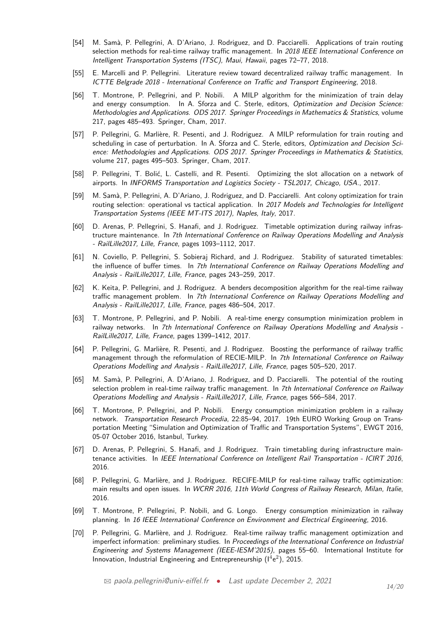- [54] M. Samà, P. Pellegrini, A. D'Ariano, J. Rodriguez, and D. Pacciarelli. Applications of train routing selection methods for real-time railway traffic management. In 2018 IEEE International Conference on Intelligent Transportation Systems (ITSC), Maui, Hawaii, pages 72–77, 2018.
- [55] E. Marcelli and P. Pellegrini. Literature review toward decentralized railway traffic management. In ICTTE Belgrade 2018 - International Conference on Traffic and Transport Engineering, 2018.
- [56] T. Montrone, P. Pellegrini, and P. Nobili. A MILP algorithm for the minimization of train delay and energy consumption. In A. Sforza and C. Sterle, editors, Optimization and Decision Science: Methodologies and Applications. ODS 2017. Springer Proceedings in Mathematics & Statistics, volume 217, pages 485–493. Springer, Cham, 2017.
- [57] P. Pellegrini, G. Marlière, R. Pesenti, and J. Rodriguez. A MILP reformulation for train routing and scheduling in case of perturbation. In A. Sforza and C. Sterle, editors, Optimization and Decision Science: Methodologies and Applications. ODS 2017. Springer Proceedings in Mathematics & Statistics, volume 217, pages 495–503. Springer, Cham, 2017.
- [58] P. Pellegrini, T. Bolić, L. Castelli, and R. Pesenti. Optimizing the slot allocation on a network of airports. In INFORMS Transportation and Logistics Society - TSL2017, Chicago, USA., 2017.
- [59] M. Samà, P. Pellegrini, A. D'Ariano, J. Rodriguez, and D. Pacciarelli. Ant colony optimization for train routing selection: operational vs tactical application. In 2017 Models and Technologies for Intelligent Transportation Systems (IEEE MT-ITS 2017), Naples, Italy, 2017.
- [60] D. Arenas, P. Pellegrini, S. Hanafi, and J. Rodriguez. Timetable optimization during railway infrastructure maintenance. In 7th International Conference on Railway Operations Modelling and Analysis - RailLille2017, Lille, France, pages 1093–1112, 2017.
- [61] N. Coviello, P. Pellegrini, S. Sobieraj Richard, and J. Rodriguez. Stability of saturated timetables: the influence of buffer times. In 7th International Conference on Railway Operations Modelling and Analysis - RailLille2017, Lille, France, pages 243–259, 2017.
- [62] K. Keita, P. Pellegrini, and J. Rodriguez. A benders decomposition algorithm for the real-time railway traffic management problem. In 7th International Conference on Railway Operations Modelling and Analysis - RailLille2017, Lille, France, pages 486–504, 2017.
- [63] T. Montrone, P. Pellegrini, and P. Nobili. A real-time energy consumption minimization problem in railway networks. In 7th International Conference on Railway Operations Modelling and Analysis -RailLille2017, Lille, France, pages 1399–1412, 2017.
- [64] P. Pellegrini, G. Marlière, R. Pesenti, and J. Rodriguez. Boosting the performance of railway traffic management through the reformulation of RECIE-MILP. In 7th International Conference on Railway Operations Modelling and Analysis - RailLille2017, Lille, France, pages 505–520, 2017.
- [65] M. Samà, P. Pellegrini, A. D'Ariano, J. Rodriguez, and D. Pacciarelli. The potential of the routing selection problem in real-time railway traffic management. In 7th International Conference on Railway Operations Modelling and Analysis - RailLille2017, Lille, France, pages 566–584, 2017.
- [66] T. Montrone, P. Pellegrini, and P. Nobili. Energy consumption minimization problem in a railway network. Transportation Research Procedia, 22:85–94, 2017. 19th EURO Working Group on Transportation Meeting "Simulation and Optimization of Traffic and Transportation Systems", EWGT 2016, 05-07 October 2016, Istanbul, Turkey.
- [67] D. Arenas, P. Pellegrini, S. Hanafi, and J. Rodriguez. Train timetabling during infrastructure maintenance activities. In IEEE International Conference on Intelligent Rail Transportation - ICIRT 2016, 2016.
- [68] P. Pellegrini, G. Marlière, and J. Rodriguez. RECIFE-MILP for real-time railway traffic optimization: main results and open issues. In WCRR 2016, 11th World Congress of Railway Research, Milan, Italie, 2016.
- [69] T. Montrone, P. Pellegrini, P. Nobili, and G. Longo. Energy consumption minimization in railway planning. In 16 IEEE International Conference on Environment and Electrical Engineering, 2016.
- [70] P. Pellegrini, G. Marlière, and J. Rodriguez. Real-time railway traffic management optimization and imperfect information: preliminary studies. In Proceedings of the International Conference on Industrial Engineering and Systems Management (IEEE-IESM'2015), pages 55–60. International Institute for Innovation, Industrial Engineering and Entrepreneurship  $(1^4e^2)$ , 2015.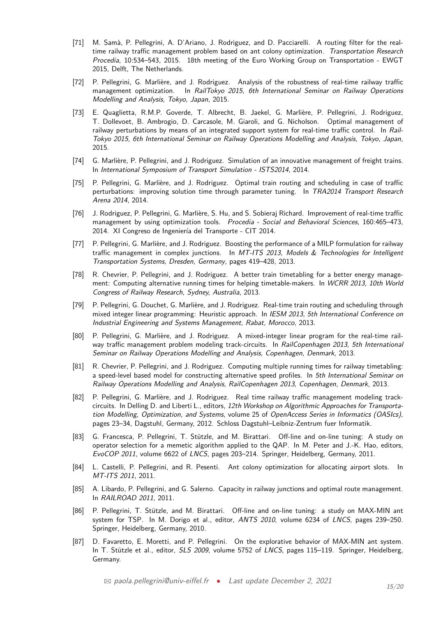- [71] M. Samà, P. Pellegrini, A. D'Ariano, J. Rodriguez, and D. Pacciarelli. A routing filter for the realtime railway traffic management problem based on ant colony optimization. Transportation Research Procedia, 10:534–543, 2015. 18th meeting of the Euro Working Group on Transportation - EWGT 2015, Delft, The Netherlands.
- [72] P. Pellegrini, G. Marlière, and J. Rodriguez. Analysis of the robustness of real-time railway traffic management optimization. In RailTokyo 2015, 6th International Seminar on Railway Operations Modelling and Analysis, Tokyo, Japan, 2015.
- [73] E. Quaglietta, R.M.P. Goverde, T. Albrecht, B. Jaekel, G. Marlière, P. Pellegrini, J. Rodriguez, T. Dollevoet, B. Ambrogio, D. Carcasole, M. Giaroli, and G. Nicholson. Optimal management of railway perturbations by means of an integrated support system for real-time traffic control. In Rail-Tokyo 2015, 6th International Seminar on Railway Operations Modelling and Analysis, Tokyo, Japan, 2015.
- [74] G. Marlière, P. Pellegrini, and J. Rodriguez. Simulation of an innovative management of freight trains. In International Symposium of Transport Simulation - ISTS2014, 2014.
- [75] P. Pellegrini, G. Marlière, and J. Rodriguez. Optimal train routing and scheduling in case of traffic perturbations: improving solution time through parameter tuning. In TRA2014 Transport Research Arena 2014, 2014.
- [76] J. Rodriguez, P. Pellegrini, G. Marlière, S. Hu, and S. Sobieraj Richard. Improvement of real-time traffic management by using optimization tools. Procedia - Social and Behavioral Sciences, 160:465-473, 2014. XI Congreso de Ingeniería del Transporte - CIT 2014.
- [77] P. Pellegrini, G. Marlière, and J. Rodriguez. Boosting the performance of a MILP formulation for railway traffic management in complex junctions. In MT-ITS 2013, Models & Technologies for Intelligent Transportation Systems, Dresden, Germany, pages 419–428, 2013.
- [78] R. Chevrier, P. Pellegrini, and J. Rodriguez. A better train timetabling for a better energy management: Computing alternative running times for helping timetable-makers. In WCRR 2013, 10th World Congress of Railway Research, Sydney, Australia, 2013.
- [79] P. Pellegrini, G. Douchet, G. Marlière, and J. Rodriguez. Real-time train routing and scheduling through mixed integer linear programming: Heuristic approach. In IESM 2013, 5th International Conference on Industrial Engineering and Systems Management, Rabat, Morocco, 2013.
- [80] P. Pellegrini, G. Marlière, and J. Rodriguez. A mixed-integer linear program for the real-time railway traffic management problem modeling track-circuits. In RailCopenhagen 2013, 5th International Seminar on Railway Operations Modelling and Analysis, Copenhagen, Denmark, 2013.
- [81] R. Chevrier, P. Pellegrini, and J. Rodriguez. Computing multiple running times for railway timetabling: a speed-level based model for constructing alternative speed profiles. In 5th International Seminar on Railway Operations Modelling and Analysis, RailCopenhagen 2013, Copenhagen, Denmark, 2013.
- [82] P. Pellegrini, G. Marlière, and J. Rodriguez. Real time railway traffic management modeling trackcircuits. In Delling D. and Liberti L., editors, 12th Workshop on Algorithmic Approaches for Transportation Modelling, Optimization, and Systems, volume 25 of OpenAccess Series in Informatics (OASIcs), pages 23–34, Dagstuhl, Germany, 2012. Schloss Dagstuhl–Leibniz-Zentrum fuer Informatik.
- [83] G. Francesca, P. Pellegrini, T. Stützle, and M. Birattari. Off-line and on-line tuning: A study on operator selection for a memetic algorithm applied to the QAP. In M. Peter and J.-K. Hao, editors, EvoCOP 2011, volume 6622 of LNCS, pages 203–214. Springer, Heidelberg, Germany, 2011.
- [84] L. Castelli, P. Pellegrini, and R. Pesenti. Ant colony optimization for allocating airport slots. In MT-ITS 2011, 2011.
- [85] A. Libardo, P. Pellegrini, and G. Salerno. Capacity in railway junctions and optimal route management. In RAILROAD 2011, 2011.
- [86] P. Pellegrini, T. Stützle, and M. Birattari. Off-line and on-line tuning: a study on MAX-MIN ant system for TSP. In M. Dorigo et al., editor, ANTS 2010, volume 6234 of LNCS, pages 239–250. Springer, Heidelberg, Germany, 2010.
- [87] D. Favaretto, E. Moretti, and P. Pellegrini. On the explorative behavior of MAX-MIN ant system. In T. Stützle et al., editor, *SLS 2009*, volume 5752 of *LNCS*, pages 115–119. Springer, Heidelberg, Germany.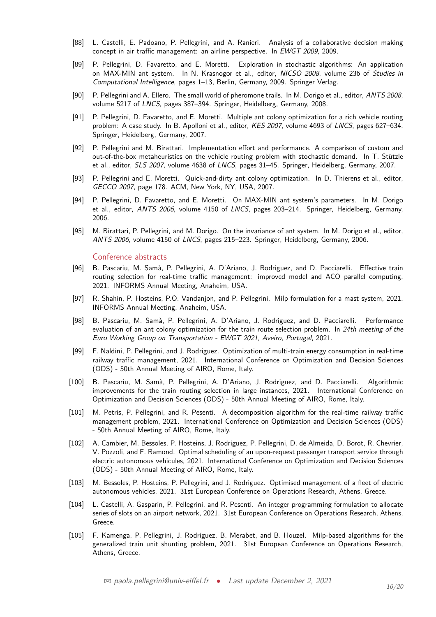- [88] L. Castelli, E. Padoano, P. Pellegrini, and A. Ranieri. Analysis of a collaborative decision making concept in air traffic management: an airline perspective. In EWGT 2009, 2009.
- [89] P. Pellegrini, D. Favaretto, and E. Moretti. Exploration in stochastic algorithms: An application on MAX-MIN ant system. In N. Krasnogor et al., editor, NICSO 2008, volume 236 of Studies in Computational Intelligence, pages 1–13, Berlin, Germany, 2009. Springer Verlag.
- [90] P. Pellegrini and A. Ellero. The small world of pheromone trails. In M. Dorigo et al., editor, ANTS 2008, volume 5217 of LNCS, pages 387–394. Springer, Heidelberg, Germany, 2008.
- [91] P. Pellegrini, D. Favaretto, and E. Moretti. Multiple ant colony optimization for a rich vehicle routing problem: A case study. In B. Apolloni et al., editor, KES 2007, volume 4693 of LNCS, pages 627–634. Springer, Heidelberg, Germany, 2007.
- [92] P. Pellegrini and M. Birattari. Implementation effort and performance. A comparison of custom and out-of-the-box metaheuristics on the vehicle routing problem with stochastic demand. In T. Stützle et al., editor, SLS 2007, volume 4638 of LNCS, pages 31–45. Springer, Heidelberg, Germany, 2007.
- [93] P. Pellegrini and E. Moretti. Quick-and-dirty ant colony optimization. In D. Thierens et al., editor, GECCO 2007, page 178. ACM, New York, NY, USA, 2007.
- [94] P. Pellegrini, D. Favaretto, and E. Moretti. On MAX-MIN ant system's parameters. In M. Dorigo et al., editor, ANTS 2006, volume 4150 of LNCS, pages 203–214. Springer, Heidelberg, Germany, 2006.
- [95] M. Birattari, P. Pellegrini, and M. Dorigo. On the invariance of ant system. In M. Dorigo et al., editor, ANTS 2006, volume 4150 of LNCS, pages 215–223. Springer, Heidelberg, Germany, 2006.

#### Conference abstracts

- [96] B. Pascariu, M. Samà, P. Pellegrini, A. D'Ariano, J. Rodriguez, and D. Pacciarelli. Effective train routing selection for real-time traffic management: improved model and ACO parallel computing, 2021. INFORMS Annual Meeting, Anaheim, USA.
- [97] R. Shahin, P. Hosteins, P.O. Vandanjon, and P. Pellegrini. Milp formulation for a mast system, 2021. INFORMS Annual Meeting, Anaheim, USA.
- [98] B. Pascariu, M. Samà, P. Pellegrini, A. D'Ariano, J. Rodriguez, and D. Pacciarelli. Performance evaluation of an ant colony optimization for the train route selection problem. In 24th meeting of the Euro Working Group on Transportation - EWGT 2021, Aveiro, Portugal, 2021.
- [99] F. Naldini, P. Pellegrini, and J. Rodriguez. Optimization of multi-train energy consumption in real-time railway traffic management, 2021. International Conference on Optimization and Decision Sciences (ODS) - 50th Annual Meeting of AIRO, Rome, Italy.
- [100] B. Pascariu, M. Samà, P. Pellegrini, A. D'Ariano, J. Rodriguez, and D. Pacciarelli. Algorithmic improvements for the train routing selection in large instances, 2021. International Conference on Optimization and Decision Sciences (ODS) - 50th Annual Meeting of AIRO, Rome, Italy.
- [101] M. Petris, P. Pellegrini, and R. Pesenti. A decomposition algorithm for the real-time railway traffic management problem, 2021. International Conference on Optimization and Decision Sciences (ODS) - 50th Annual Meeting of AIRO, Rome, Italy.
- [102] A. Cambier, M. Bessoles, P. Hosteins, J. Rodriguez, P. Pellegrini, D. de Almeida, D. Borot, R. Chevrier, V. Pozzoli, and F. Ramond. Optimal scheduling of an upon-request passenger transport service through electric autonomous vehicules, 2021. International Conference on Optimization and Decision Sciences (ODS) - 50th Annual Meeting of AIRO, Rome, Italy.
- [103] M. Bessoles, P. Hosteins, P. Pellegrini, and J. Rodriguez. Optimised management of a fleet of electric autonomous vehicles, 2021. 31st European Conference on Operations Research, Athens, Greece.
- [104] L. Castelli, A. Gasparin, P. Pellegrini, and R. Pesenti. An integer programming formulation to allocate series of slots on an airport network, 2021. 31st European Conference on Operations Research, Athens, Greece.
- [105] F. Kamenga, P. Pellegrini, J. Rodriguez, B. Merabet, and B. Houzel. Milp-based algorithms for the generalized train unit shunting problem, 2021. 31st European Conference on Operations Research, Athens, Greece.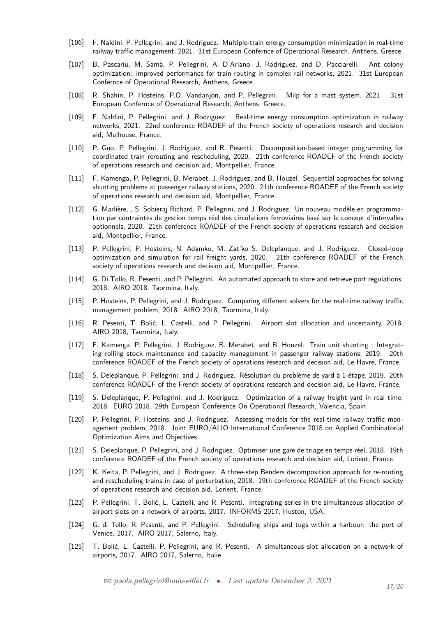- [106] F. Naldini, P. Pellegrini, and J. Rodriguez. Multiple-train energy consumption minimization in real-time railway traffic management, 2021. 31st European Confernce of Operational Research, Anthens, Greece.
- [107] B. Pascariu, M. Samà, P. Pellegrini, A. D'Ariano, J. Rodriguez, and D. Pacciarelli. Ant colony optimization: improved performance for train routing in complex rail networks, 2021. 31st European Confernce of Operational Research, Anthens, Greece.
- [108] R. Shahin, P. Hosteins, P.O. Vandanjon, and P. Pellegrini. Milp for a mast system, 2021. 31st European Confernce of Operational Research, Anthens, Greece.
- [109] F. Naldini, P. Pellegrini, and J. Rodriguez. Real-time energy consumption optimization in railway networks, 2021. 22nd conference ROADEF of the French society of operations research and decision aid, Mulhouse, France.
- [110] P. Guo, P. Pellegrini, J. Rodriguez, and R. Pesenti. Decomposition-based integer programming for coordinated train rerouting and rescheduling, 2020. 21th conference ROADEF of the French society of operations research and decision aid, Montpellier, France.
- [111] F. Kamenga, P. Pellegrini, B. Merabet, J. Rodriguez, and B. Houzel. Sequential approaches for solving shunting problems at passenger railway stations, 2020. 21th conference ROADEF of the French society of operations research and decision aid, Montpellier, France.
- [112] G. Marlière, , S. Sobieraj Richard, P. Pellegrini, and J. Rodriguez. Un nouveau modèle en programmation par contraintes de gestion temps réel des circulations ferroviaires basé sur le concept d'intervalles optionnels, 2020. 21th conference ROADEF of the French society of operations research and decision aid, Montpellier, France.
- [113] P. Pellegrini, P. Hosteins, N. Adamko, M. Zat'ko S. Deleplanque, and J. Rodriguez. Closed-loop optimization and simulation for rail freight yards, 2020. 21th conference ROADEF of the French society of operations research and decision aid, Montpellier, France.
- [114] G. Di Tollo, R. Pesenti, and P. Pellegrini. An automated approach to store and retrieve port regulations, 2018. AIRO 2018, Taormina, Italy.
- [115] P. Hosteins, P. Pellegrini, and J. Rodriguez. Comparing different solvers for the real-time railway traffic management problem, 2018. AIRO 2018, Taormina, Italy.
- [116] R. Pesenti, T. Bolić, L. Castelli, and P. Pellegrini. Airport slot allocation and uncertainty, 2018. AIRO 2018, Taormina, Italy.
- [117] F. Kamenga, P. Pellegrini, J. Rodriguez, B. Merabet, and B. Houzel. Train unit shunting : Integrating rolling stock maintenance and capacity management in passenger railway stations, 2019. 20th conference ROADEF of the French society of operations research and decision aid, Le Havre, France.
- [118] S. Deleplanque, P. Pellegrini, and J. Rodriguez. Résolution du problème de yard à 1-étape, 2019. 20th conference ROADEF of the French society of operations research and decision aid, Le Havre, France.
- [119] S. Deleplanque, P. Pellegrini, and J. Rodriguez. Optimization of a railway freight yard in real time, 2018. EURO 2018. 29th European Conference On Operational Research, Valencia, Spain.
- [120] P. Pellegrini, P. Hosteins, and J. Rodriguez. Assessing models for the real-time railway traffic management problem, 2018. Joint EURO/ALIO International Conference 2018 on Applied Combinatorial Optimization Aims and Objectives.
- [121] S. Deleplanque, P. Pellegrini, and J. Rodriguez. Optimiser une gare de triage en temps réel, 2018. 19th conference ROADEF of the French society of operations research and decision aid, Lorient, France.
- [122] K. Keita, P. Pellegrini, and J. Rodriguez. A three-step Benders decomposition approach for re-routing and rescheduling trains in case of perturbation, 2018. 19th conference ROADEF of the French society of operations research and decision aid, Lorient, France.
- [123] P. Pellegrini, T. Bolić, L. Castelli, and R. Pesenti. Integrating series in the simultaneous allocation of airport slots on a network of airports, 2017. INFORMS 2017, Huston, USA.
- [124] G. di Tollo, R. Pesenti, and P. Pellegrini. Scheduling ships and tugs within a harbour: the port of Venice, 2017. AIRO 2017, Salerno, Italy.
- [125] T. Bolić, L. Castelli, P. Pellegrini, and R. Pesenti. A simultaneous slot allocation on a network of airports, 2017. AIRO 2017, Salerno, Italie.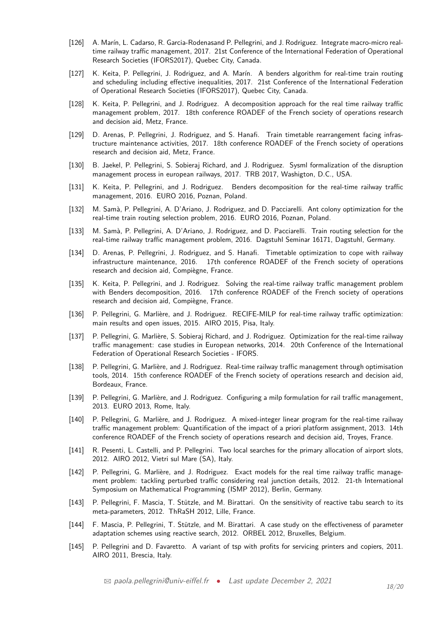- [126] A. Marín, L. Cadarso, R. Garcia-Rodenasand P. Pellegrini, and J. Rodriguez. Integrate macro-micro realtime railway traffic management, 2017. 21st Conference of the International Federation of Operational Research Societies (IFORS2017), Quebec City, Canada.
- [127] K. Keita, P. Pellegrini, J. Rodriguez, and A. Marín. A benders algorithm for real-time train routing and scheduling including effective inequalities, 2017. 21st Conference of the International Federation of Operational Research Societies (IFORS2017), Quebec City, Canada.
- [128] K. Keita, P. Pellegrini, and J. Rodriguez. A decomposition approach for the real time railway traffic management problem, 2017. 18th conference ROADEF of the French society of operations research and decision aid, Metz, France.
- [129] D. Arenas, P. Pellegrini, J. Rodriguez, and S. Hanafi. Train timetable rearrangement facing infrastructure maintenance activities, 2017. 18th conference ROADEF of the French society of operations research and decision aid, Metz, France.
- [130] B. Jaekel, P. Pellegrini, S. Sobieraj Richard, and J. Rodriguez. Sysml formalization of the disruption management process in european railways, 2017. TRB 2017, Washigton, D.C., USA.
- [131] K. Keita, P. Pellegrini, and J. Rodriguez. Benders decomposition for the real-time railway traffic management, 2016. EURO 2016, Poznan, Poland.
- [132] M. Samà, P. Pellegrini, A. D'Ariano, J. Rodriguez, and D. Pacciarelli. Ant colony optimization for the real-time train routing selection problem, 2016. EURO 2016, Poznan, Poland.
- [133] M. Samà, P. Pellegrini, A. D'Ariano, J. Rodriguez, and D. Pacciarelli. Train routing selection for the real-time railway traffic management problem, 2016. Dagstuhl Seminar 16171, Dagstuhl, Germany.
- [134] D. Arenas, P. Pellegrini, J. Rodriguez, and S. Hanafi. Timetable optimization to cope with railway infrastructure maintenance, 2016. 17th conference ROADEF of the French society of operations research and decision aid, Compiègne, France.
- [135] K. Keita, P. Pellegrini, and J. Rodriguez. Solving the real-time railway traffic management problem with Benders decomposition, 2016. 17th conference ROADEF of the French society of operations research and decision aid, Compiègne, France.
- [136] P. Pellegrini, G. Marlière, and J. Rodriguez. RECIFE-MILP for real-time railway traffic optimization: main results and open issues, 2015. AIRO 2015, Pisa, Italy.
- [137] P. Pellegrini, G. Marlière, S. Sobieraj Richard, and J. Rodriguez. Optimization for the real-time railway traffic management: case studies in European networks, 2014. 20th Conference of the International Federation of Operational Research Societies - IFORS.
- [138] P. Pellegrini, G. Marlière, and J. Rodriguez. Real-time railway traffic management through optimisation tools, 2014. 15th conference ROADEF of the French society of operations research and decision aid, Bordeaux, France.
- [139] P. Pellegrini, G. Marlière, and J. Rodriguez. Configuring a milp formulation for rail traffic management, 2013. EURO 2013, Rome, Italy.
- [140] P. Pellegrini, G. Marlière, and J. Rodriguez. A mixed-integer linear program for the real-time railway traffic management problem: Quantification of the impact of a priori platform assignment, 2013. 14th conference ROADEF of the French society of operations research and decision aid, Troyes, France.
- [141] R. Pesenti, L. Castelli, and P. Pellegrini. Two local searches for the primary allocation of airport slots, 2012. AIRO 2012, Vietri sul Mare (SA), Italy.
- [142] P. Pellegrini, G. Marlière, and J. Rodriguez. Exact models for the real time railway traffic management problem: tackling perturbed traffic considering real junction details, 2012. 21-th International Symposium on Mathematical Programming (ISMP 2012), Berlin, Germany.
- [143] P. Pellegrini, F. Mascia, T. Stützle, and M. Birattari. On the sensitivity of reactive tabu search to its meta-parameters, 2012. ThRaSH 2012, Lille, France.
- [144] F. Mascia, P. Pellegrini, T. Stützle, and M. Birattari. A case study on the effectiveness of parameter adaptation schemes using reactive search, 2012. ORBEL 2012, Bruxelles, Belgium.
- [145] P. Pellegrini and D. Favaretto. A variant of tsp with profits for servicing printers and copiers, 2011. AIRO 2011, Brescia, Italy.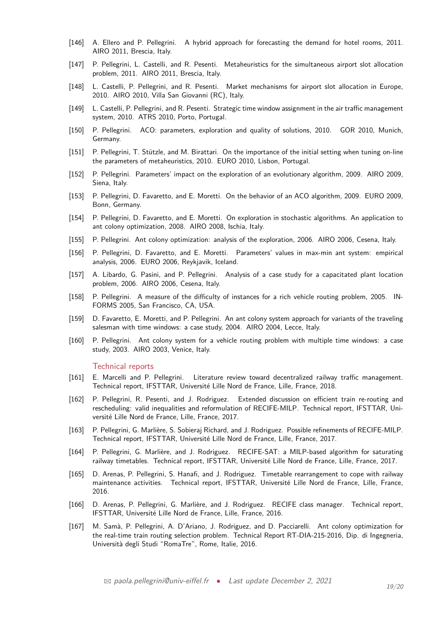- [146] A. Ellero and P. Pellegrini. A hybrid approach for forecasting the demand for hotel rooms, 2011. AIRO 2011, Brescia, Italy.
- [147] P. Pellegrini, L. Castelli, and R. Pesenti. Metaheuristics for the simultaneous airport slot allocation problem, 2011. AIRO 2011, Brescia, Italy.
- [148] L. Castelli, P. Pellegrini, and R. Pesenti. Market mechanisms for airport slot allocation in Europe, 2010. AIRO 2010, Villa San Giovanni (RC), Italy.
- [149] L. Castelli, P. Pellegrini, and R. Pesenti. Strategic time window assignment in the air traffic management system, 2010. ATRS 2010, Porto, Portugal.
- [150] P. Pellegrini. ACO: parameters, exploration and quality of solutions, 2010. GOR 2010, Munich, Germany.
- [151] P. Pellegrini, T. Stützle, and M. Birattari. On the importance of the initial setting when tuning on-line the parameters of metaheuristics, 2010. EURO 2010, Lisbon, Portugal.
- [152] P. Pellegrini. Parameters' impact on the exploration of an evolutionary algorithm, 2009. AIRO 2009, Siena, Italy.
- [153] P. Pellegrini, D. Favaretto, and E. Moretti. On the behavior of an ACO algorithm, 2009. EURO 2009, Bonn, Germany.
- [154] P. Pellegrini, D. Favaretto, and E. Moretti. On exploration in stochastic algorithms. An application to ant colony optimization, 2008. AIRO 2008, Ischia, Italy.
- [155] P. Pellegrini. Ant colony optimization: analysis of the exploration, 2006. AIRO 2006, Cesena, Italy.
- [156] P. Pellegrini, D. Favaretto, and E. Moretti. Parameters' values in max-min ant system: empirical analysis, 2006. EURO 2006, Reykjavik, Iceland.
- [157] A. Libardo, G. Pasini, and P. Pellegrini. Analysis of a case study for a capacitated plant location problem, 2006. AIRO 2006, Cesena, Italy.
- [158] P. Pellegrini. A measure of the difficulty of instances for a rich vehicle routing problem, 2005. IN-FORMS 2005, San Francisco, CA, USA.
- [159] D. Favaretto, E. Moretti, and P. Pellegrini. An ant colony system approach for variants of the traveling salesman with time windows: a case study, 2004. AIRO 2004, Lecce, Italy.
- [160] P. Pellegrini. Ant colony system for a vehicle routing problem with multiple time windows: a case study, 2003. AIRO 2003, Venice, Italy.

#### Technical reports

- [161] E. Marcelli and P. Pellegrini. Literature review toward decentralized railway traffic management. Technical report, IFSTTAR, Université Lille Nord de France, Lille, France, 2018.
- [162] P. Pellegrini, R. Pesenti, and J. Rodriguez. Extended discussion on efficient train re-routing and rescheduling: valid inequalities and reformulation of RECIFE-MILP. Technical report, IFSTTAR, Université Lille Nord de France, Lille, France, 2017.
- [163] P. Pellegrini, G. Marlière, S. Sobieraj Richard, and J. Rodriguez. Possible refinements of RECIFE-MILP. Technical report, IFSTTAR, Université Lille Nord de France, Lille, France, 2017.
- [164] P. Pellegrini, G. Marlière, and J. Rodriguez. RECIFE-SAT: a MILP-based algorithm for saturating railway timetables. Technical report, IFSTTAR, Université Lille Nord de France, Lille, France, 2017.
- [165] D. Arenas, P. Pellegrini, S. Hanafi, and J. Rodriguez. Timetable rearrangement to cope with railway maintenance activities. Technical report, IFSTTAR, Université Lille Nord de France, Lille, France, 2016.
- [166] D. Arenas, P. Pellegrini, G. Marlière, and J. Rodriguez. RECIFE class manager. Technical report, IFSTTAR, Université Lille Nord de France, Lille, France, 2016.
- [167] M. Samà, P. Pellegrini, A. D'Ariano, J. Rodriguez, and D. Pacciarelli. Ant colony optimization for the real-time train routing selection problem. Technical Report RT-DIA-215-2016, Dip. di Ingegneria, Università degli Studi "RomaTre", Rome, Italie, 2016.